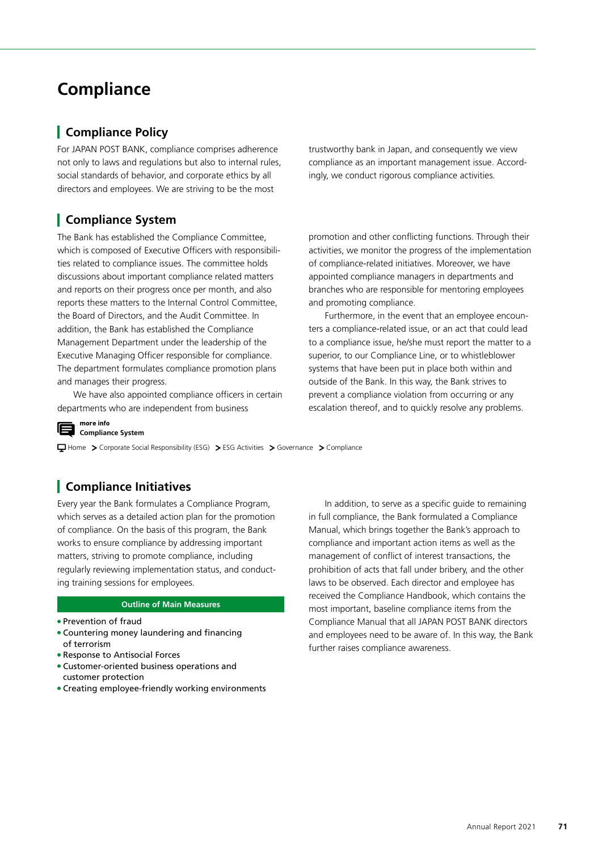# **Compliance**

# **Compliance Policy**

For JAPAN POST BANK, compliance comprises adherence not only to laws and regulations but also to internal rules, social standards of behavior, and corporate ethics by all directors and employees. We are striving to be the most

# **Compliance System**

The Bank has established the Compliance Committee, which is composed of Executive Officers with responsibilities related to compliance issues. The committee holds discussions about important compliance related matters and reports on their progress once per month, and also reports these matters to the Internal Control Committee, the Board of Directors, and the Audit Committee. In addition, the Bank has established the Compliance Management Department under the leadership of the Executive Managing Officer responsible for compliance. The department formulates compliance promotion plans and manages their progress.

We have also appointed compliance officers in certain departments who are independent from business

trustworthy bank in Japan, and consequently we view compliance as an important management issue. Accordingly, we conduct rigorous compliance activities.

promotion and other conflicting functions. Through their activities, we monitor the progress of the implementation of compliance-related initiatives. Moreover, we have appointed compliance managers in departments and branches who are responsible for mentoring employees and promoting compliance.

Furthermore, in the event that an employee encounters a compliance-related issue, or an act that could lead to a compliance issue, he/she must report the matter to a superior, to our Compliance Line, or to whistleblower systems that have been put in place both within and outside of the Bank. In this way, the Bank strives to prevent a compliance violation from occurring or any escalation thereof, and to quickly resolve any problems.

**more info Compliance System**

Home > Corporate Social Responsibility (ESG) > ESG Activities > Governance > Compliance

# **Compliance Initiatives**

Every year the Bank formulates a Compliance Program, which serves as a detailed action plan for the promotion of compliance. On the basis of this program, the Bank works to ensure compliance by addressing important matters, striving to promote compliance, including regularly reviewing implementation status, and conducting training sessions for employees.

#### **Outline of Main Measures**

- Prevention of fraud
- Countering money laundering and financing of terrorism
- Response to Antisocial Forces
- Customer-oriented business operations and customer protection
- Creating employee-friendly working environments

In addition, to serve as a specific guide to remaining in full compliance, the Bank formulated a Compliance Manual, which brings together the Bank's approach to compliance and important action items as well as the management of conflict of interest transactions, the prohibition of acts that fall under bribery, and the other laws to be observed. Each director and employee has received the Compliance Handbook, which contains the most important, baseline compliance items from the Compliance Manual that all JAPAN POST BANK directors and employees need to be aware of. In this way, the Bank further raises compliance awareness.